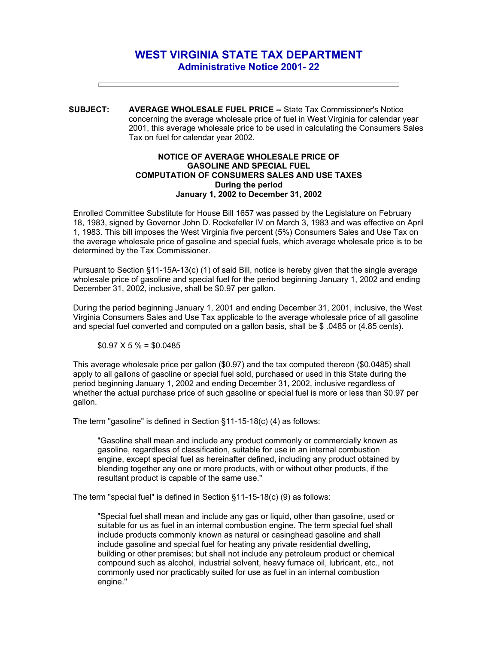## **WEST VIRGINIA STATE TAX DEPARTMENT Administrative Notice 2001- 22**

**SUBJECT: AVERAGE WHOLESALE FUEL PRICE --** State Tax Commissioner's Notice concerning the average wholesale price of fuel in West Virginia for calendar year 2001, this average wholesale price to be used in calculating the Consumers Sales Tax on fuel for calendar year 2002.

## **NOTICE OF AVERAGE WHOLESALE PRICE OF GASOLINE AND SPECIAL FUEL COMPUTATION OF CONSUMERS SALES AND USE TAXES During the period January 1, 2002 to December 31, 2002**

Enrolled Committee Substitute for House Bill 1657 was passed by the Legislature on February 18, 1983, signed by Governor John D. Rockefeller IV on March 3, 1983 and was effective on April 1, 1983. This bill imposes the West Virginia five percent (5%) Consumers Sales and Use Tax on the average wholesale price of gasoline and special fuels, which average wholesale price is to be determined by the Tax Commissioner.

Pursuant to Section §11-15A-13(c) (1) of said Bill, notice is hereby given that the single average wholesale price of gasoline and special fuel for the period beginning January 1, 2002 and ending December 31, 2002, inclusive, shall be \$0.97 per gallon.

During the period beginning January 1, 2001 and ending December 31, 2001, inclusive, the West Virginia Consumers Sales and Use Tax applicable to the average wholesale price of all gasoline and special fuel converted and computed on a gallon basis, shall be \$ .0485 or (4.85 cents).

## $$0.97 \times 5\% = $0.0485$

This average wholesale price per gallon (\$0.97) and the tax computed thereon (\$0.0485) shall apply to all gallons of gasoline or special fuel sold, purchased or used in this State during the period beginning January 1, 2002 and ending December 31, 2002, inclusive regardless of whether the actual purchase price of such gasoline or special fuel is more or less than \$0.97 per gallon.

The term "gasoline" is defined in Section §11-15-18(c) (4) as follows:

"Gasoline shall mean and include any product commonly or commercially known as gasoline, regardless of classification, suitable for use in an internal combustion engine, except special fuel as hereinafter defined, including any product obtained by blending together any one or more products, with or without other products, if the resultant product is capable of the same use."

The term "special fuel" is defined in Section §11-15-18(c) (9) as follows:

"Special fuel shall mean and include any gas or liquid, other than gasoline, used or suitable for us as fuel in an internal combustion engine. The term special fuel shall include products commonly known as natural or casinghead gasoline and shall include gasoline and special fuel for heating any private residential dwelling, building or other premises; but shall not include any petroleum product or chemical compound such as alcohol, industrial solvent, heavy furnace oil, lubricant, etc., not commonly used nor practicably suited for use as fuel in an internal combustion engine."